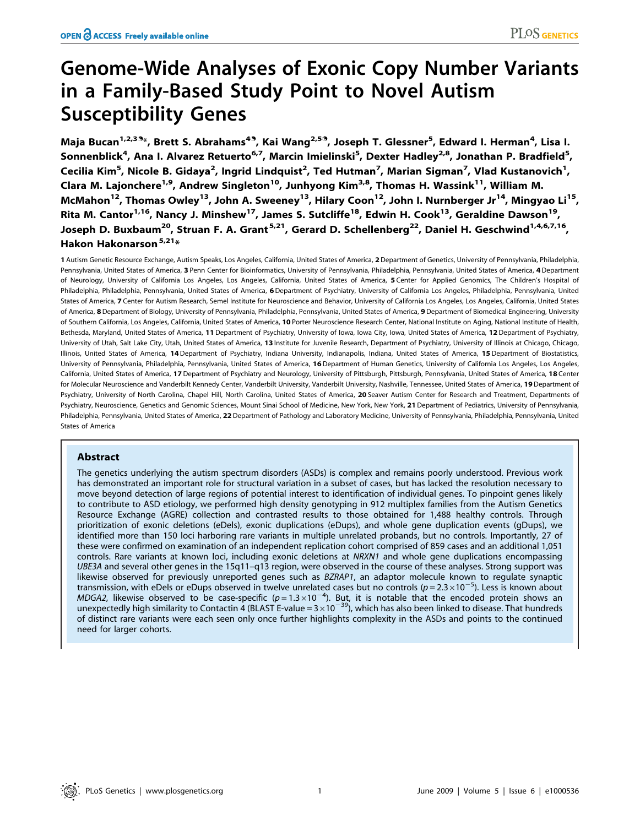# Genome-Wide Analyses of Exonic Copy Number Variants in a Family-Based Study Point to Novel Autism Susceptibility Genes

Maja Bucan<sup>1,2,39</sup>\*, Brett S. Abrahams<sup>49</sup>, Kai Wang<sup>2,59</sup>, Joseph T. Glessner<sup>5</sup>, Edward I. Herman<sup>4</sup>, Lisa I. Sonnenblick<sup>4</sup>, Ana I. Alvarez Retuerto<sup>6,7</sup>, Marcin Imielinski<sup>5</sup>, Dexter Hadley<sup>2,8</sup>, Jonathan P. Bradfield<sup>5</sup>, Cecilia Kim<sup>5</sup>, Nicole B. Gidaya<sup>2</sup>, Ingrid Lindquist<sup>2</sup>, Ted Hutman<sup>7</sup>, Marian Sigman<sup>7</sup>, Vlad Kustanovich<sup>1</sup>, Clara M. Lajonchere<sup>1,9</sup>, Andrew Singleton<sup>10</sup>, Junhyong Kim<sup>3,8</sup>, Thomas H. Wassink<sup>11</sup>, William M. McMahon<sup>12</sup>, Thomas Owley<sup>13</sup>, John A. Sweeney<sup>13</sup>, Hilary Coon<sup>12</sup>, John I. Nurnberger Jr<sup>14</sup>, Mingyao Li<sup>15</sup>, Rita M. Cantor<sup>1,16</sup>, Nancy J. Minshew<sup>17</sup>, James S. Sutcliffe<sup>18</sup>, Edwin H. Cook<sup>13</sup>, Geraldine Dawson<sup>19</sup>, Joseph D. Buxbaum<sup>20</sup>, Struan F. A. Grant<sup>5,21</sup>, Gerard D. Schellenberg<sup>22</sup>, Daniel H. Geschwind<sup>1,4,6,7,16</sup>, Hakon Hakonarson<sup>5,21</sup>\*

1 Autism Genetic Resource Exchange, Autism Speaks, Los Angeles, California, United States of America, 2 Department of Genetics, University of Pennsylvania, Philadelphia, Pennsylvania, United States of America, 3 Penn Center for Bioinformatics, University of Pennsylvania, Philadelphia, Pennsylvania, United States of America, 4 Department of Neurology, University of California Los Angeles, Los Angeles, California, United States of America, 5 Center for Applied Genomics, The Children's Hospital of Philadelphia, Philadelphia, Pennsylvania, United States of America, 6 Department of Psychiatry, University of California Los Angeles, Philadelphia, Pennsylvania, United States of America, 7 Center for Autism Research, Semel Institute for Neuroscience and Behavior, University of California Los Angeles, Los Angeles, California, United States of America, 8 Department of Biology, University of Pennsylvania, Philadelphia, Pennsylvania, United States of America, 9 Department of Biomedical Engineering, University of Southern California, Los Angeles, California, United States of America, 10 Porter Neuroscience Research Center, National Institute on Aging, National Institute of Health, Bethesda, Maryland, United States of America, 11Department of Psychiatry, University of Iowa, Iowa City, Iowa, United States of America, 12 Department of Psychiatry, University of Utah, Salt Lake City, Utah, United States of America, 13 Institute for Juvenile Research, Department of Psychiatry, University of Illinois at Chicago, Chicago, Chicago, Illinois, United States of America, 14 Department of Psychiatry, Indiana University, Indianapolis, Indiana, United States of America, 15 Department of Biostatistics, University of Pennsylvania, Philadelphia, Pennsylvania, United States of America, 16 Department of Human Genetics, University of California Los Angeles, Los Angeles, California, United States of America, 17 Department of Psychiatry and Neurology, University of Pittsburgh, Pittsburgh, Pennsylvania, United States of America, 18 Center for Molecular Neuroscience and Vanderbilt Kennedy Center, Vanderbilt University, Vanderbilt University, Nashville, Tennessee, United States of America, 19 Department of Psychiatry, University of North Carolina, Chapel Hill, North Carolina, United States of America, 20 Seaver Autism Center for Research and Treatment, Departments of Psychiatry, Neuroscience, Genetics and Genomic Sciences, Mount Sinai School of Medicine, New York, New York, 21 Department of Pediatrics, University of Pennsylvania, Philadelphia, Pennsylvania, United States of America, 22 Department of Pathology and Laboratory Medicine, University of Pennsylvania, Philadelphia, Pennsylvania, United States of America

# Abstract

The genetics underlying the autism spectrum disorders (ASDs) is complex and remains poorly understood. Previous work has demonstrated an important role for structural variation in a subset of cases, but has lacked the resolution necessary to move beyond detection of large regions of potential interest to identification of individual genes. To pinpoint genes likely to contribute to ASD etiology, we performed high density genotyping in 912 multiplex families from the Autism Genetics Resource Exchange (AGRE) collection and contrasted results to those obtained for 1,488 healthy controls. Through prioritization of exonic deletions (eDels), exonic duplications (eDups), and whole gene duplication events (gDups), we identified more than 150 loci harboring rare variants in multiple unrelated probands, but no controls. Importantly, 27 of these were confirmed on examination of an independent replication cohort comprised of 859 cases and an additional 1,051 controls. Rare variants at known loci, including exonic deletions at NRXN1 and whole gene duplications encompassing UBE3A and several other genes in the 15q11–q13 region, were observed in the course of these analyses. Strong support was likewise observed for previously unreported genes such as BZRAP1, an adaptor molecule known to regulate synaptic transmission, with eDels or eDups observed in twelve unrelated cases but no controls ( $p = 2.3 \times 10^{-5}$ ). Less is known about MDGA2, likewise observed to be case-specific ( $p=1.3\times10^{-4}$ ). But, it is notable that the encoded protein shows an unexpectedly high similarity to Contactin 4 (BLAST E-value =  $3\times10^{-39}$ ), which has also been linked to disease. That hundreds of distinct rare variants were each seen only once further highlights complexity in the ASDs and points to the continued need for larger cohorts.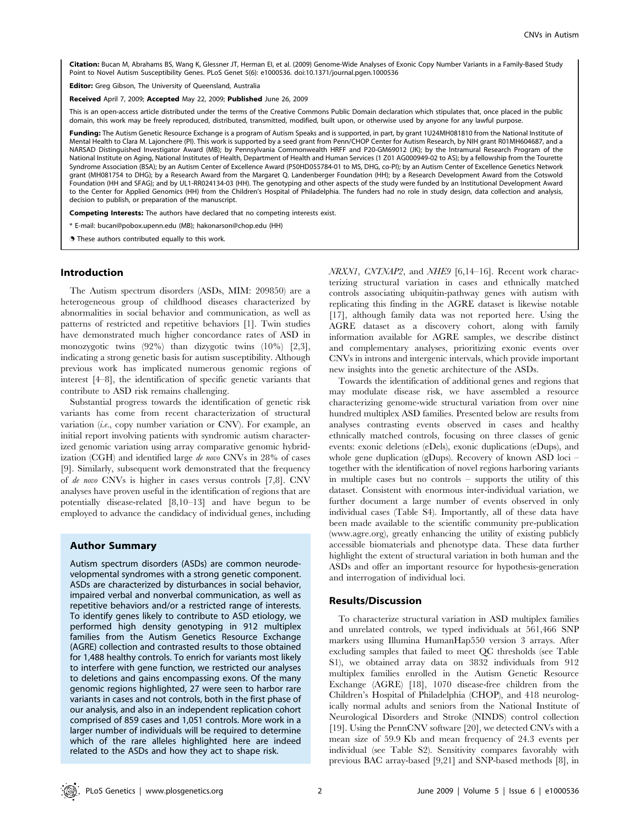Citation: Bucan M, Abrahams BS, Wang K, Glessner JT, Herman EI, et al. (2009) Genome-Wide Analyses of Exonic Copy Number Variants in a Family-Based Study Point to Novel Autism Susceptibility Genes. PLoS Genet 5(6): e1000536. doi:10.1371/journal.pgen.1000536

Editor: Greg Gibson, The University of Queensland, Australia

Received April 7, 2009; Accepted May 22, 2009; Published June 26, 2009

This is an open-access article distributed under the terms of the Creative Commons Public Domain declaration which stipulates that, once placed in the public domain, this work may be freely reproduced, distributed, transmitted, modified, built upon, or otherwise used by anyone for any lawful purpose.

Funding: The Autism Genetic Resource Exchange is a program of Autism Speaks and is supported, in part, by grant 1U24MH081810 from the National Institute of Mental Health to Clara M. Lajonchere (PI). This work is supported by a seed grant from Penn/CHOP Center for Autism Research, by NIH grant R01MH604687, and a NARSAD Distinguished Investigator Award (MB); by Pennsylvania Commonwealth HRFF and P20-GM69012 (JK); by the Intramural Research Program of the National Institute on Aging, National Institutes of Health, Department of Health and Human Services (1 Z01 AG000949-02 to AS); by a fellowship from the Tourette Syndrome Association (BSA); by an Autism Center of Excellence Award (P50HD055784-01 to MS, DHG, co-PI); by an Autism Center of Excellence Genetics Network grant (MH081754 to DHG); by a Research Award from the Margaret Q. Landenberger Foundation (HH); by a Research Development Award from the Cotswold Foundation (HH and SFAG); and by UL1-RR024134-03 (HH). The genotyping and other aspects of the study were funded by an Institutional Development Award to the Center for Applied Genomics (HH) from the Children's Hospital of Philadelphia. The funders had no role in study design, data collection and analysis, decision to publish, or preparation of the manuscript.

Competing Interests: The authors have declared that no competing interests exist.

\* E-mail: bucan@pobox.upenn.edu (MB); hakonarson@chop.edu (HH)

. These authors contributed equally to this work.

## Introduction

The Autism spectrum disorders (ASDs, MIM: 209850) are a heterogeneous group of childhood diseases characterized by abnormalities in social behavior and communication, as well as patterns of restricted and repetitive behaviors [1]. Twin studies have demonstrated much higher concordance rates of ASD in monozygotic twins (92%) than dizygotic twins (10%) [2,3], indicating a strong genetic basis for autism susceptibility. Although previous work has implicated numerous genomic regions of interest [4–8], the identification of specific genetic variants that contribute to ASD risk remains challenging.

Substantial progress towards the identification of genetic risk variants has come from recent characterization of structural variation (i.e., copy number variation or CNV). For example, an initial report involving patients with syndromic autism characterized genomic variation using array comparative genomic hybridization (CGH) and identified large de novo CNVs in 28% of cases [9]. Similarly, subsequent work demonstrated that the frequency of de novo CNVs is higher in cases versus controls [7,8]. CNV analyses have proven useful in the identification of regions that are potentially disease-related [8,10–13] and have begun to be employed to advance the candidacy of individual genes, including

# Author Summary

Autism spectrum disorders (ASDs) are common neurodevelopmental syndromes with a strong genetic component. ASDs are characterized by disturbances in social behavior, impaired verbal and nonverbal communication, as well as repetitive behaviors and/or a restricted range of interests. To identify genes likely to contribute to ASD etiology, we performed high density genotyping in 912 multiplex families from the Autism Genetics Resource Exchange (AGRE) collection and contrasted results to those obtained for 1,488 healthy controls. To enrich for variants most likely to interfere with gene function, we restricted our analyses to deletions and gains encompassing exons. Of the many genomic regions highlighted, 27 were seen to harbor rare variants in cases and not controls, both in the first phase of our analysis, and also in an independent replication cohort comprised of 859 cases and 1,051 controls. More work in a larger number of individuals will be required to determine which of the rare alleles highlighted here are indeed related to the ASDs and how they act to shape risk.

NRXN1, CNTNAP2, and NHE9 [6,14–16]. Recent work characterizing structural variation in cases and ethnically matched controls associating ubiquitin-pathway genes with autism with replicating this finding in the AGRE dataset is likewise notable [17], although family data was not reported here. Using the AGRE dataset as a discovery cohort, along with family information available for AGRE samples, we describe distinct and complementary analyses, prioritizing exonic events over CNVs in introns and intergenic intervals, which provide important new insights into the genetic architecture of the ASDs.

Towards the identification of additional genes and regions that may modulate disease risk, we have assembled a resource characterizing genome-wide structural variation from over nine hundred multiplex ASD families. Presented below are results from analyses contrasting events observed in cases and healthy ethnically matched controls, focusing on three classes of genic events: exonic deletions (eDels), exonic duplications (eDups), and whole gene duplication (gDups). Recovery of known ASD loci – together with the identification of novel regions harboring variants in multiple cases but no controls – supports the utility of this dataset. Consistent with enormous inter-individual variation, we further document a large number of events observed in only individual cases (Table S4). Importantly, all of these data have been made available to the scientific community pre-publication (www.agre.org), greatly enhancing the utility of existing publicly accessible biomaterials and phenotype data. These data further highlight the extent of structural variation in both human and the ASDs and offer an important resource for hypothesis-generation and interrogation of individual loci.

#### Results/Discussion

To characterize structural variation in ASD multiplex families and unrelated controls, we typed individuals at 561,466 SNP markers using Illumina HumanHap550 version 3 arrays. After excluding samples that failed to meet QC thresholds (see Table S1), we obtained array data on 3832 individuals from 912 multiplex families enrolled in the Autism Genetic Resource Exchange (AGRE) [18], 1070 disease-free children from the Children's Hospital of Philadelphia (CHOP), and 418 neurologically normal adults and seniors from the National Institute of Neurological Disorders and Stroke (NINDS) control collection [19]. Using the PennCNV software [20], we detected CNVs with a mean size of 59.9 Kb and mean frequency of 24.3 events per individual (see Table S2). Sensitivity compares favorably with previous BAC array-based [9,21] and SNP-based methods [8], in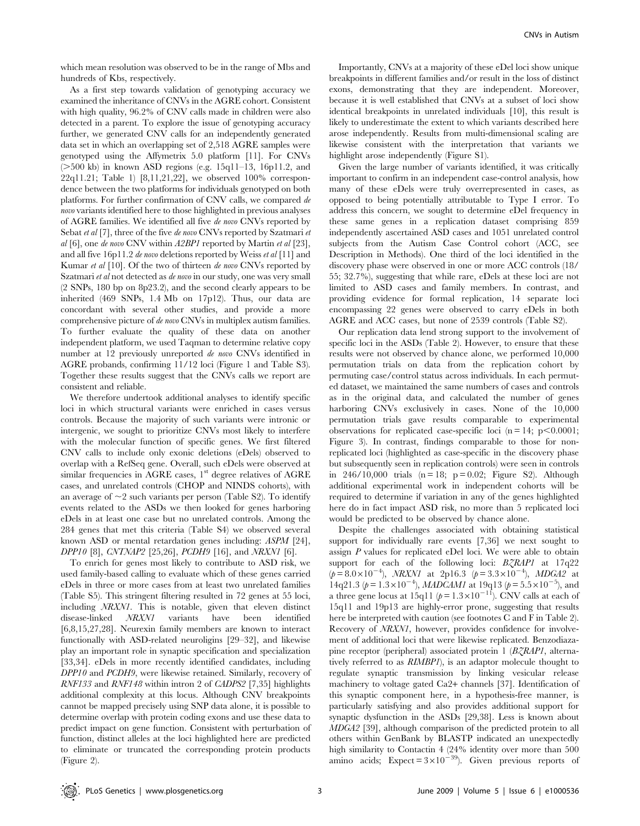which mean resolution was observed to be in the range of Mbs and hundreds of Kbs, respectively.

As a first step towards validation of genotyping accuracy we examined the inheritance of CNVs in the AGRE cohort. Consistent with high quality, 96.2% of CNV calls made in children were also detected in a parent. To explore the issue of genotyping accuracy further, we generated CNV calls for an independently generated data set in which an overlapping set of 2,518 AGRE samples were genotyped using the Affymetrix 5.0 platform [11]. For CNVs  $($ >500 kb) in known ASD regions (e.g. 15q11–13, 16p11.2, and 22q11.21; Table 1) [8,11,21,22], we observed 100% correspondence between the two platforms for individuals genotyped on both platforms. For further confirmation of CNV calls, we compared de novo variants identified here to those highlighted in previous analyses of AGRE families. We identified all five de novo CNVs reported by Sebat et al [7], three of the five de novo CNVs reported by Szatmari et al [6], one de novo CNV within  $A2BP1$  reported by Martin et al [23], and all five 16p11.2 de novo deletions reported by Weiss et al [11] and Kumar et al [10]. Of the two of thirteen de novo CNVs reported by Szatmari et al not detected as de novo in our study, one was very small (2 SNPs, 180 bp on 8p23.2), and the second clearly appears to be inherited (469 SNPs, 1.4 Mb on 17p12). Thus, our data are concordant with several other studies, and provide a more comprehensive picture of de novo CNVs in multiplex autism families. To further evaluate the quality of these data on another independent platform, we used Taqman to determine relative copy number at 12 previously unreported de novo CNVs identified in AGRE probands, confirming 11/12 loci (Figure 1 and Table S3). Together these results suggest that the CNVs calls we report are consistent and reliable.

We therefore undertook additional analyses to identify specific loci in which structural variants were enriched in cases versus controls. Because the majority of such variants were intronic or intergenic, we sought to prioritize CNVs most likely to interfere with the molecular function of specific genes. We first filtered CNV calls to include only exonic deletions (eDels) observed to overlap with a RefSeq gene. Overall, such eDels were observed at similar frequencies in AGRE cases,  $1<sup>st</sup>$  degree relatives of AGRE cases, and unrelated controls (CHOP and NINDS cohorts), with an average of  $\sim$ 2 such variants per person (Table S2). To identify events related to the ASDs we then looked for genes harboring eDels in at least one case but no unrelated controls. Among the 284 genes that met this criteria (Table S4) we observed several known ASD or mental retardation genes including: ASPM [24], DPP10 [8], CNTNAP2 [25,26], PCDH9 [16], and NRXN1 [6].

To enrich for genes most likely to contribute to ASD risk, we used family-based calling to evaluate which of these genes carried eDels in three or more cases from at least two unrelated families (Table S5). This stringent filtering resulted in 72 genes at 55 loci, including NRXN1. This is notable, given that eleven distinct disease-linked NRXN1 variants have been identified [6,8,15,27,28]. Neurexin family members are known to interact functionally with ASD-related neuroligins [29–32], and likewise play an important role in synaptic specification and specialization [33,34]. eDels in more recently identified candidates, including DPP10 and PCDH9, were likewise retained. Similarly, recovery of RNF133 and RNF148 within intron 2 of CADPS2 [7,35] highlights additional complexity at this locus. Although CNV breakpoints cannot be mapped precisely using SNP data alone, it is possible to determine overlap with protein coding exons and use these data to predict impact on gene function. Consistent with perturbation of function, distinct alleles at the loci highlighted here are predicted to eliminate or truncated the corresponding protein products (Figure 2).

Importantly, CNVs at a majority of these eDel loci show unique breakpoints in different families and/or result in the loss of distinct exons, demonstrating that they are independent. Moreover, because it is well established that CNVs at a subset of loci show identical breakpoints in unrelated individuals [10], this result is likely to underestimate the extent to which variants described here arose independently. Results from multi-dimensional scaling are likewise consistent with the interpretation that variants we highlight arose independently (Figure S1).

Given the large number of variants identified, it was critically important to confirm in an independent case-control analysis, how many of these eDels were truly overrepresented in cases, as opposed to being potentially attributable to Type I error. To address this concern, we sought to determine eDel frequency in these same genes in a replication dataset comprising 859 independently ascertained ASD cases and 1051 unrelated control subjects from the Autism Case Control cohort (ACC, see Description in Methods). One third of the loci identified in the discovery phase were observed in one or more ACC controls (18/ 55; 32.7%), suggesting that while rare, eDels at these loci are not limited to ASD cases and family members. In contrast, and providing evidence for formal replication, 14 separate loci encompassing 22 genes were observed to carry eDels in both AGRE and ACC cases, but none of 2539 controls (Table S2).

Our replication data lend strong support to the involvement of specific loci in the ASDs (Table 2). However, to ensure that these results were not observed by chance alone, we performed 10,000 permutation trials on data from the replication cohort by permuting case/control status across individuals. In each permuted dataset, we maintained the same numbers of cases and controls as in the original data, and calculated the number of genes harboring CNVs exclusively in cases. None of the  $10,000$ permutation trials gave results comparable to experimental observations for replicated case-specific loci ( $n = 14$ ;  $p < 0.0001$ ; Figure 3). In contrast, findings comparable to those for nonreplicated loci (highlighted as case-specific in the discovery phase but subsequently seen in replication controls) were seen in controls in 246/10,000 trials  $(n = 18; p = 0.02; Figure S2)$ . Although additional experimental work in independent cohorts will be required to determine if variation in any of the genes highlighted here do in fact impact ASD risk, no more than 5 replicated loci would be predicted to be observed by chance alone.

Despite the challenges associated with obtaining statistical support for individually rare events [7,36] we next sought to assign P values for replicated eDel loci. We were able to obtain support for each of the following loci:  $BZRAP1$  at 17q22  $(\rho = 8.0 \times 10^{-4})$ , NRXN1 at 2p16.3  $(\rho = 3.3 \times 10^{-4})$ , MDGA2 at 14q21.3 ( $p = 1.3 \times 10^{-4}$ ), MADCAM1 at 19q13 ( $p = 5.5 \times 10^{-5}$ ), and a three gene locus at 15q11 ( $p=1.3\times10^{-11}$ ). CNV calls at each of 15q11 and 19p13 are highly-error prone, suggesting that results here be interpreted with caution (see footnotes C and F in Table 2). Recovery of NRXN1, however, provides confidence for involvement of additional loci that were likewise replicated. Benzodiazapine receptor (peripheral) associated protein 1 (BZRAP1, alternatively referred to as RIMBP1), is an adaptor molecule thought to regulate synaptic transmission by linking vesicular release machinery to voltage gated Ca2+ channels [37]. Identification of this synaptic component here, in a hypothesis-free manner, is particularly satisfying and also provides additional support for synaptic dysfunction in the ASDs [29,38]. Less is known about MDGA2 [39], although comparison of the predicted protein to all others within GenBank by BLASTP indicated an unexpectedly high similarity to Contactin 4 (24% identity over more than 500 amino acids; Expect =  $3\times10^{-39}$ ). Given previous reports of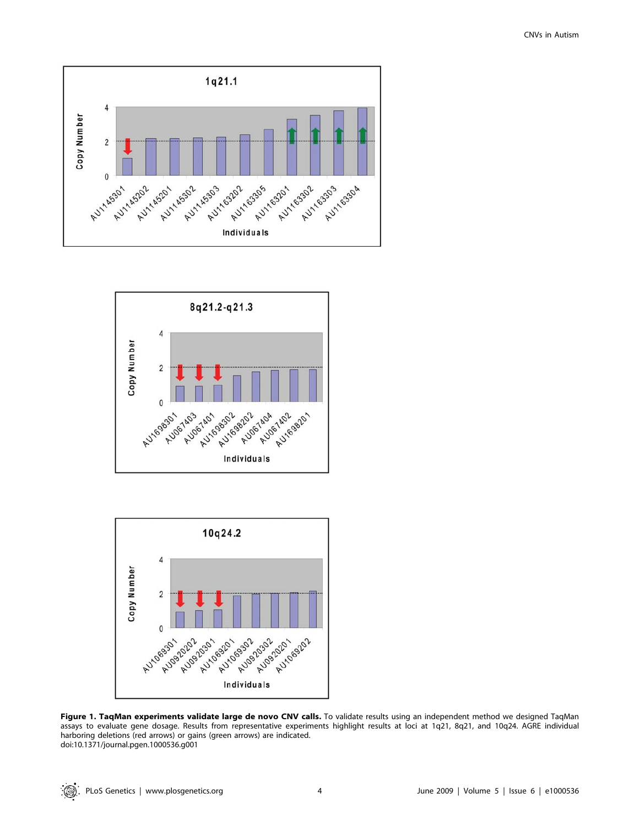





Figure 1. TaqMan experiments validate large de novo CNV calls. To validate results using an independent method we designed TaqMan assays to evaluate gene dosage. Results from representative experiments highlight results at loci at 1q21, 8q21, and 10q24. AGRE individual harboring deletions (red arrows) or gains (green arrows) are indicated. doi:10.1371/journal.pgen.1000536.g001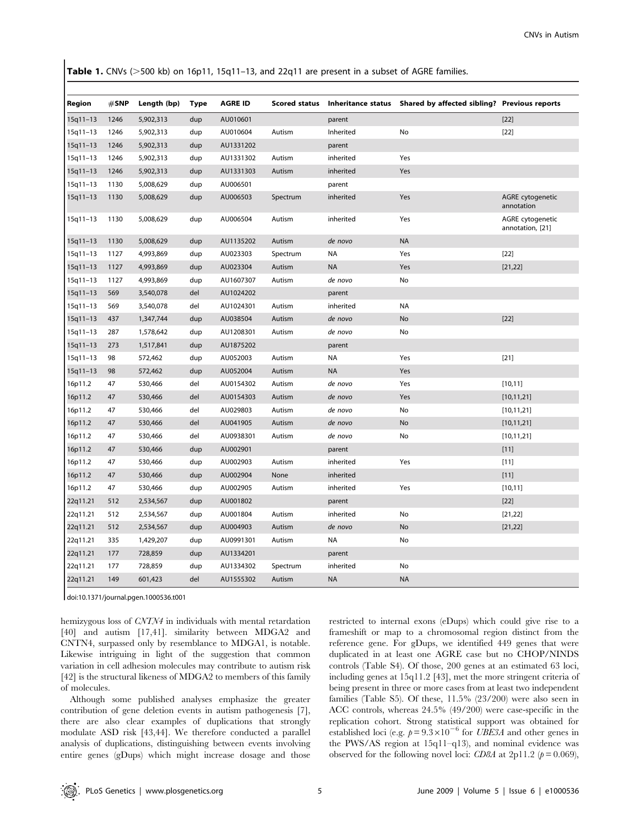Table 1. CNVs ( $>$ 500 kb) on 16p11, 15q11-13, and 22q11 are present in a subset of AGRE families.

| Region       | #SNP | Length (bp) | Type | <b>AGRE ID</b> | <b>Scored status</b> |           | Inheritance status Shared by affected sibling? Previous reports |                                      |
|--------------|------|-------------|------|----------------|----------------------|-----------|-----------------------------------------------------------------|--------------------------------------|
| $15q11-13$   | 1246 | 5,902,313   | dup  | AU010601       |                      | parent    |                                                                 | $[22]$                               |
| $15q11-13$   | 1246 | 5,902,313   | dup  | AU010604       | Autism               | Inherited | No                                                              | $[22]$                               |
| $15q11 - 13$ | 1246 | 5,902,313   | dup  | AU1331202      |                      | parent    |                                                                 |                                      |
| $15q11-13$   | 1246 | 5,902,313   | dup  | AU1331302      | Autism               | inherited | Yes                                                             |                                      |
| $15q11 - 13$ | 1246 | 5,902,313   | dup  | AU1331303      | Autism               | inherited | Yes                                                             |                                      |
| $15q11-13$   | 1130 | 5,008,629   | dup  | AU006501       |                      | parent    |                                                                 |                                      |
| $15q11 - 13$ | 1130 | 5,008,629   | dup  | AU006503       | Spectrum             | inherited | Yes                                                             | AGRE cytogenetic<br>annotation       |
| $15q11-13$   | 1130 | 5,008,629   | dup  | AU006504       | Autism               | inherited | Yes                                                             | AGRE cytogenetic<br>annotation, [21] |
| $15q11-13$   | 1130 | 5,008,629   | dup  | AU1135202      | Autism               | de novo   | <b>NA</b>                                                       |                                      |
| $15q11-13$   | 1127 | 4,993,869   | dup  | AU023303       | Spectrum             | <b>NA</b> | Yes                                                             | $[22]$                               |
| $15q11-13$   | 1127 | 4,993,869   | dup  | AU023304       | Autism               | <b>NA</b> | Yes                                                             | [21, 22]                             |
| $15q11-13$   | 1127 | 4,993,869   | dup  | AU1607307      | Autism               | de novo   | No                                                              |                                      |
| $15q11-13$   | 569  | 3,540,078   | del  | AU1024202      |                      | parent    |                                                                 |                                      |
| $15q11-13$   | 569  | 3,540,078   | del  | AU1024301      | Autism               | inherited | <b>NA</b>                                                       |                                      |
| $15q11-13$   | 437  | 1,347,744   | dup  | AU038504       | Autism               | de novo   | No                                                              | $[22]$                               |
| $15q11-13$   | 287  | 1,578,642   | dup  | AU1208301      | Autism               | de novo   | No                                                              |                                      |
| $15q11 - 13$ | 273  | 1,517,841   | dup  | AU1875202      |                      | parent    |                                                                 |                                      |
| $15q11-13$   | 98   | 572,462     | dup  | AU052003       | Autism               | <b>NA</b> | Yes                                                             | $[21]$                               |
| $15q11-13$   | 98   | 572,462     | dup  | AU052004       | Autism               | <b>NA</b> | Yes                                                             |                                      |
| 16p11.2      | 47   | 530,466     | del  | AU0154302      | Autism               | de novo   | Yes                                                             | [10, 11]                             |
| 16p11.2      | 47   | 530,466     | del  | AU0154303      | Autism               | de novo   | Yes                                                             | [10, 11, 21]                         |
| 16p11.2      | 47   | 530,466     | del  | AU029803       | Autism               | de novo   | No                                                              | [10, 11, 21]                         |
| 16p11.2      | 47   | 530,466     | del  | AU041905       | Autism               | de novo   | No                                                              | [10, 11, 21]                         |
| 16p11.2      | 47   | 530,466     | del  | AU0938301      | Autism               | de novo   | No                                                              | [10, 11, 21]                         |
| 16p11.2      | 47   | 530,466     | dup  | AU002901       |                      | parent    |                                                                 | $[11]$                               |
| 16p11.2      | 47   | 530,466     | dup  | AU002903       | Autism               | inherited | Yes                                                             | $[11]$                               |
| 16p11.2      | 47   | 530,466     | dup  | AU002904       | None                 | inherited |                                                                 | $[11]$                               |
| 16p11.2      | 47   | 530,466     | dup  | AU002905       | Autism               | inherited | Yes                                                             | [10, 11]                             |
| 22q11.21     | 512  | 2,534,567   | dup  | AU001802       |                      | parent    |                                                                 | $[22]$                               |
| 22q11.21     | 512  | 2,534,567   | dup  | AU001804       | Autism               | inherited | No                                                              | [21, 22]                             |
| 22q11.21     | 512  | 2,534,567   | dup  | AU004903       | Autism               | de novo   | No                                                              | [21, 22]                             |
| 22q11.21     | 335  | 1,429,207   | dup  | AU0991301      | Autism               | NA        | No                                                              |                                      |
| 22q11.21     | 177  | 728,859     | dup  | AU1334201      |                      | parent    |                                                                 |                                      |
| 22q11.21     | 177  | 728,859     | dup  | AU1334302      | Spectrum             | inherited | No                                                              |                                      |
| 22q11.21     | 149  | 601,423     | del  | AU1555302      | Autism               | <b>NA</b> | <b>NA</b>                                                       |                                      |

doi:10.1371/journal.pgen.1000536.t001

hemizygous loss of CNTN4 in individuals with mental retardation [40] and autism [17,41]. similarity between MDGA2 and CNTN4, surpassed only by resemblance to MDGA1, is notable. Likewise intriguing in light of the suggestion that common variation in cell adhesion molecules may contribute to autism risk [42] is the structural likeness of MDGA2 to members of this family of molecules.

Although some published analyses emphasize the greater contribution of gene deletion events in autism pathogenesis [7], there are also clear examples of duplications that strongly modulate ASD risk [43,44]. We therefore conducted a parallel analysis of duplications, distinguishing between events involving entire genes (gDups) which might increase dosage and those

restricted to internal exons (eDups) which could give rise to a frameshift or map to a chromosomal region distinct from the reference gene. For gDups, we identified 449 genes that were duplicated in at least one AGRE case but no CHOP/NINDS controls (Table S4). Of those, 200 genes at an estimated 63 loci, including genes at 15q11.2 [43], met the more stringent criteria of being present in three or more cases from at least two independent families (Table S5). Of these, 11.5% (23/200) were also seen in ACC controls, whereas 24.5% (49/200) were case-specific in the replication cohort. Strong statistical support was obtained for established loci (e.g.  $p = 9.3 \times 10^{-6}$  for UBE3A and other genes in the PWS/AS region at 15q11–q13), and nominal evidence was observed for the following novel loci: CD8A at 2p11.2 ( $p = 0.069$ ),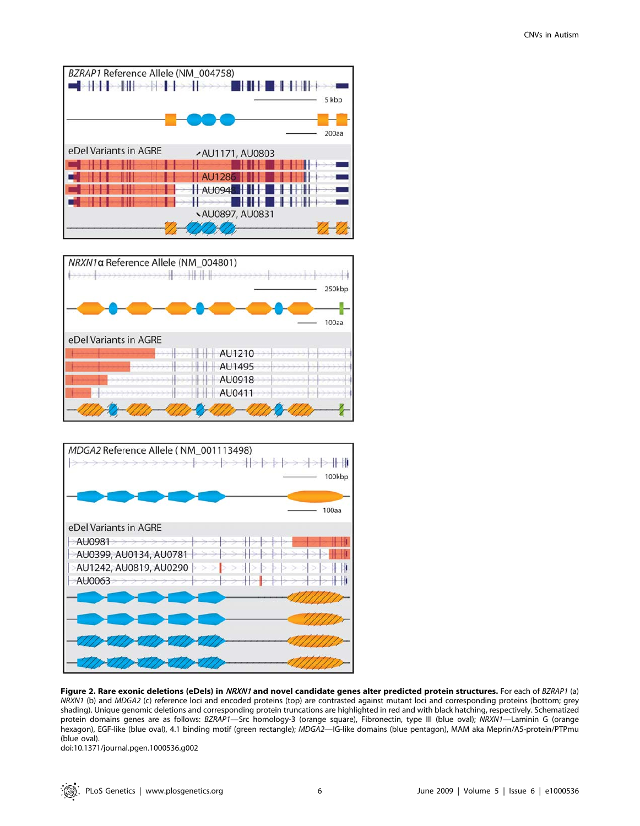





Figure 2. Rare exonic deletions (eDels) in NRXN1 and novel candidate genes alter predicted protein structures. For each of BZRAP1 (a) NRXN1 (b) and MDGA2 (c) reference loci and encoded proteins (top) are contrasted against mutant loci and corresponding proteins (bottom; grey shading). Unique genomic deletions and corresponding protein truncations are highlighted in red and with black hatching, respectively. Schematized protein domains genes are as follows: BZRAP1-Src homology-3 (orange square), Fibronectin, type III (blue oval); NRXN1-Laminin G (orange hexagon), EGF-like (blue oval), 4.1 binding motif (green rectangle); MDGA2—IG-like domains (blue pentagon), MAM aka Meprin/A5-protein/PTPmu (blue oval).

doi:10.1371/journal.pgen.1000536.g002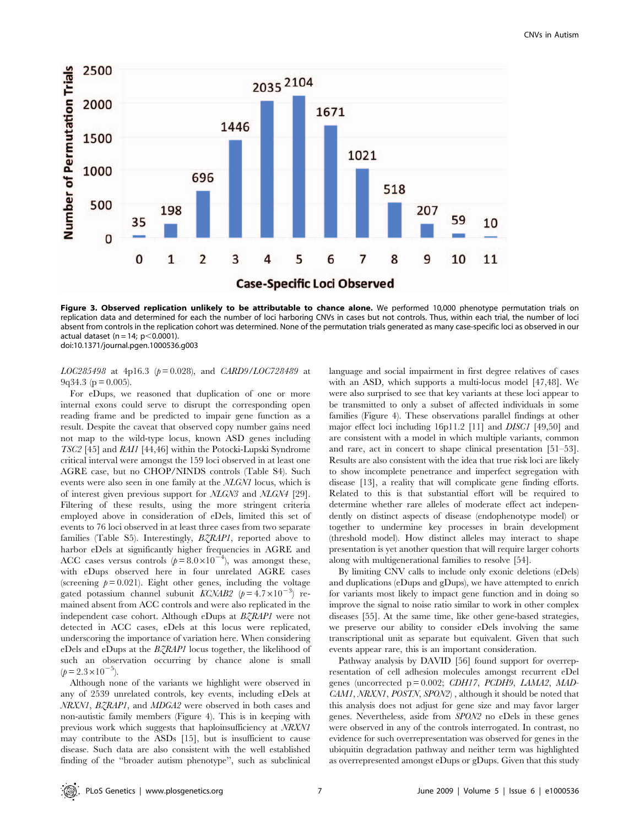

Figure 3. Observed replication unlikely to be attributable to chance alone. We performed 10,000 phenotype permutation trials on replication data and determined for each the number of loci harboring CNVs in cases but not controls. Thus, within each trial, the number of loci absent from controls in the replication cohort was determined. None of the permutation trials generated as many case-specific loci as observed in our actual dataset (n = 14;  $p$  < 0.0001). doi:10.1371/journal.pgen.1000536.g003

 $LOC285498$  at 4p16.3 ( $p = 0.028$ ), and  $CARD9/LOC728489$  at  $9q34.3$  (p = 0.005).

For eDups, we reasoned that duplication of one or more internal exons could serve to disrupt the corresponding open reading frame and be predicted to impair gene function as a result. Despite the caveat that observed copy number gains need not map to the wild-type locus, known ASD genes including TSC2 [45] and RAI1 [44,46] within the Potocki-Lupski Syndrome critical interval were amongst the 159 loci observed in at least one AGRE case, but no CHOP/NINDS controls (Table S4). Such events were also seen in one family at the NLGN1 locus, which is of interest given previous support for NLGN3 and NLGN4 [29]. Filtering of these results, using the more stringent criteria employed above in consideration of eDels, limited this set of events to 76 loci observed in at least three cases from two separate families (Table S5). Interestingly, *BZRAP1*, reported above to harbor eDels at significantly higher frequencies in AGRE and ACC cases versus controls  $(p=8.0\times10^{-4})$ , was amongst these, with eDups observed here in four unrelated AGRE cases (screening  $p = 0.021$ ). Eight other genes, including the voltage gated potassium channel subunit  $KCMAB2$  ( $p = 4.7 \times 10^{-3}$ ) remained absent from ACC controls and were also replicated in the independent case cohort. Although eDups at BZRAP1 were not detected in ACC cases, eDels at this locus were replicated, underscoring the importance of variation here. When considering eDels and eDups at the BZRAP1 locus together, the likelihood of such an observation occurring by chance alone is small  $(p=2.3\times10^{-5}).$ 

Although none of the variants we highlight were observed in any of 2539 unrelated controls, key events, including eDels at NRXN1, BZRAP1, and MDGA2 were observed in both cases and non-autistic family members (Figure 4). This is in keeping with previous work which suggests that haploinsufficiency at NRXN1 may contribute to the ASDs [15], but is insufficient to cause disease. Such data are also consistent with the well established finding of the ''broader autism phenotype'', such as subclinical language and social impairment in first degree relatives of cases with an ASD, which supports a multi-locus model [47,48]. We were also surprised to see that key variants at these loci appear to be transmitted to only a subset of affected individuals in some families (Figure 4). These observations parallel findings at other major effect loci including 16p11.2 [11] and DISC1 [49,50] and are consistent with a model in which multiple variants, common and rare, act in concert to shape clinical presentation [51–53]. Results are also consistent with the idea that true risk loci are likely to show incomplete penetrance and imperfect segregation with disease [13], a reality that will complicate gene finding efforts. Related to this is that substantial effort will be required to determine whether rare alleles of moderate effect act independently on distinct aspects of disease (endophenotype model) or together to undermine key processes in brain development (threshold model). How distinct alleles may interact to shape presentation is yet another question that will require larger cohorts along with multigenerational families to resolve [54].

By limiting CNV calls to include only exonic deletions (eDels) and duplications (eDups and gDups), we have attempted to enrich for variants most likely to impact gene function and in doing so improve the signal to noise ratio similar to work in other complex diseases [55]. At the same time, like other gene-based strategies, we preserve our ability to consider eDels involving the same transcriptional unit as separate but equivalent. Given that such events appear rare, this is an important consideration.

Pathway analysis by DAVID [56] found support for overrepresentation of cell adhesion molecules amongst recurrent eDel genes (uncorrected  $p = 0.002$ ; CDH17, PCDH9, LAMA2, MAD-CAM1, NRXN1, POSTN, SPON2) , although it should be noted that this analysis does not adjust for gene size and may favor larger genes. Nevertheless, aside from SPON2 no eDels in these genes were observed in any of the controls interrogated. In contrast, no evidence for such overrepresentation was observed for genes in the ubiquitin degradation pathway and neither term was highlighted as overrepresented amongst eDups or gDups. Given that this study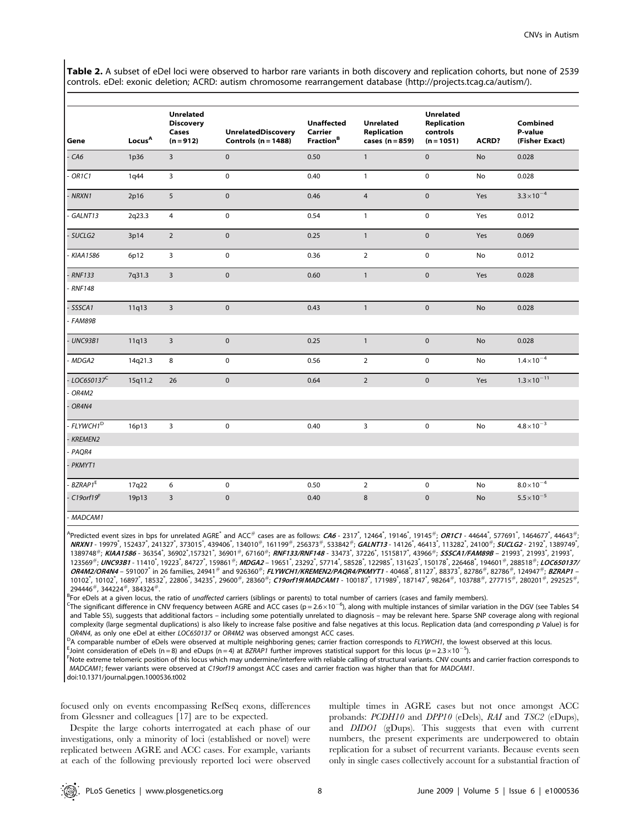Table 2. A subset of eDel loci were observed to harbor rare variants in both discovery and replication cohorts, but none of 2539 controls. eDel: exonic deletion; ACRD: autism chromosome rearrangement database (http://projects.tcag.ca/autism/).

| $\mathbf{0}$<br>$\mathbf{0}$<br>CA6<br>1p36<br>$\overline{3}$<br>0.50<br>$\mathbf{1}$<br>No<br>0.028<br>$\overline{3}$<br>OR <sub>1</sub> C <sub>1</sub><br>$\mathbf 0$<br>$\pmb{0}$<br>1q44<br>0.40<br>$\mathbf{1}$<br>No<br>0.028<br>$3.3 \times 10^{-4}$<br>5<br>$\mathsf{O}\xspace$<br>Yes<br>$\mathbf{0}$<br>0.46<br>$\overline{4}$<br>- NRXN1<br>2p16<br>$\overline{4}$<br>$\mathbf 0$<br>$\pmb{0}$<br>Yes<br>0.012<br>GALNT13<br>2q23.3<br>0.54<br>$\mathbf{1}$<br>$\overline{2}$<br>$\mathbf 0$<br>$\mathbf{1}$<br>$\mathsf{O}\xspace$<br>Yes<br>3p14<br>0.25<br>0.069<br>SUCLG <sub>2</sub><br>$\overline{2}$<br>$\overline{3}$<br>$\mathbf 0$<br>$\pmb{0}$<br>0.36<br>No<br>0.012<br>KIAA1586<br>6p12<br>$\overline{3}$<br>$\mathbf{0}$<br>$\mathbf{1}$<br>$\pmb{0}$<br>0.60<br>Yes<br>7q31.3<br>0.028<br><b>RNF133</b><br><b>RNF148</b><br>$\overline{3}$<br>$\mathbf{0}$<br>$\overline{1}$<br>$\mathsf{O}\xspace$<br>0.028<br>SSSCA1<br>11q13<br>0.43<br>No<br>FAM89B<br>$\overline{3}$<br>$\mathbf 0$<br>$\mathbf{1}$<br>$\mathbf 0$<br>No<br>0.028<br><b>UNC93B1</b><br>11q13<br>0.25<br>$1.4 \times 10^{-4}$<br>$\overline{2}$<br>MDGA2<br>8<br>$\mathbf 0$<br>0.56<br>$\pmb{0}$<br>No<br>14q21.3<br>$1.3\times10^{-11}$<br>LOG50137 <sup>C</sup><br>$\overline{2}$<br>15q11.2<br>26<br>$\mathbf{0}$<br>$\mathsf{O}\xspace$<br>Yes<br>0.64<br>OR4M2<br>OR4N4<br>- FLYWCH1 <sup>D</sup><br>$4.8 \times 10^{-3}$<br>16p13<br>$\mathsf{3}$<br>$\pmb{0}$<br>$\mathbf{3}$<br>$\pmb{0}$<br>0.40<br>No<br><b>KREMEN2</b><br>PAQR4<br>- PKMYT1<br>- BZRAP1 <sup>E</sup><br>$8.0\times10^{-4}$<br>6<br>$\mathbf 0$<br>0.50<br>$\overline{2}$<br>$\mathsf 0$<br>No<br>17q22<br>- C19orf19 <sup>F</sup><br>$5.5 \times 10^{-5}$<br>19p13<br>$\overline{3}$<br>0.40<br>$\bf 8$<br>$\pmb{0}$<br>No<br>$\bf 0$ | Gene | Locus <sup>A</sup> | <b>Unrelated</b><br><b>Discovery</b><br>Cases<br>$(n = 912)$ | <b>UnrelatedDiscovery</b><br>Controls ( $n = 1488$ ) | <b>Unaffected</b><br>Carrier<br><b>Fraction</b> <sup>B</sup> | <b>Unrelated</b><br>Replication<br>cases $(n = 859)$ | <b>Unrelated</b><br>Replication<br>controls<br>$(n = 1051)$ | ACRD? | Combined<br>P-value<br>(Fisher Exact) |
|-----------------------------------------------------------------------------------------------------------------------------------------------------------------------------------------------------------------------------------------------------------------------------------------------------------------------------------------------------------------------------------------------------------------------------------------------------------------------------------------------------------------------------------------------------------------------------------------------------------------------------------------------------------------------------------------------------------------------------------------------------------------------------------------------------------------------------------------------------------------------------------------------------------------------------------------------------------------------------------------------------------------------------------------------------------------------------------------------------------------------------------------------------------------------------------------------------------------------------------------------------------------------------------------------------------------------------------------------------------------------------------------------------------------------------------------------------------------------------------------------------------------------------------------------------------------------------------------------------------------------------------------------------------------------------------------------------------------------------------------------------------------------------------------------------------------|------|--------------------|--------------------------------------------------------------|------------------------------------------------------|--------------------------------------------------------------|------------------------------------------------------|-------------------------------------------------------------|-------|---------------------------------------|
|                                                                                                                                                                                                                                                                                                                                                                                                                                                                                                                                                                                                                                                                                                                                                                                                                                                                                                                                                                                                                                                                                                                                                                                                                                                                                                                                                                                                                                                                                                                                                                                                                                                                                                                                                                                                                 |      |                    |                                                              |                                                      |                                                              |                                                      |                                                             |       |                                       |
|                                                                                                                                                                                                                                                                                                                                                                                                                                                                                                                                                                                                                                                                                                                                                                                                                                                                                                                                                                                                                                                                                                                                                                                                                                                                                                                                                                                                                                                                                                                                                                                                                                                                                                                                                                                                                 |      |                    |                                                              |                                                      |                                                              |                                                      |                                                             |       |                                       |
|                                                                                                                                                                                                                                                                                                                                                                                                                                                                                                                                                                                                                                                                                                                                                                                                                                                                                                                                                                                                                                                                                                                                                                                                                                                                                                                                                                                                                                                                                                                                                                                                                                                                                                                                                                                                                 |      |                    |                                                              |                                                      |                                                              |                                                      |                                                             |       |                                       |
|                                                                                                                                                                                                                                                                                                                                                                                                                                                                                                                                                                                                                                                                                                                                                                                                                                                                                                                                                                                                                                                                                                                                                                                                                                                                                                                                                                                                                                                                                                                                                                                                                                                                                                                                                                                                                 |      |                    |                                                              |                                                      |                                                              |                                                      |                                                             |       |                                       |
|                                                                                                                                                                                                                                                                                                                                                                                                                                                                                                                                                                                                                                                                                                                                                                                                                                                                                                                                                                                                                                                                                                                                                                                                                                                                                                                                                                                                                                                                                                                                                                                                                                                                                                                                                                                                                 |      |                    |                                                              |                                                      |                                                              |                                                      |                                                             |       |                                       |
|                                                                                                                                                                                                                                                                                                                                                                                                                                                                                                                                                                                                                                                                                                                                                                                                                                                                                                                                                                                                                                                                                                                                                                                                                                                                                                                                                                                                                                                                                                                                                                                                                                                                                                                                                                                                                 |      |                    |                                                              |                                                      |                                                              |                                                      |                                                             |       |                                       |
|                                                                                                                                                                                                                                                                                                                                                                                                                                                                                                                                                                                                                                                                                                                                                                                                                                                                                                                                                                                                                                                                                                                                                                                                                                                                                                                                                                                                                                                                                                                                                                                                                                                                                                                                                                                                                 |      |                    |                                                              |                                                      |                                                              |                                                      |                                                             |       |                                       |
|                                                                                                                                                                                                                                                                                                                                                                                                                                                                                                                                                                                                                                                                                                                                                                                                                                                                                                                                                                                                                                                                                                                                                                                                                                                                                                                                                                                                                                                                                                                                                                                                                                                                                                                                                                                                                 |      |                    |                                                              |                                                      |                                                              |                                                      |                                                             |       |                                       |
|                                                                                                                                                                                                                                                                                                                                                                                                                                                                                                                                                                                                                                                                                                                                                                                                                                                                                                                                                                                                                                                                                                                                                                                                                                                                                                                                                                                                                                                                                                                                                                                                                                                                                                                                                                                                                 |      |                    |                                                              |                                                      |                                                              |                                                      |                                                             |       |                                       |
|                                                                                                                                                                                                                                                                                                                                                                                                                                                                                                                                                                                                                                                                                                                                                                                                                                                                                                                                                                                                                                                                                                                                                                                                                                                                                                                                                                                                                                                                                                                                                                                                                                                                                                                                                                                                                 |      |                    |                                                              |                                                      |                                                              |                                                      |                                                             |       |                                       |
|                                                                                                                                                                                                                                                                                                                                                                                                                                                                                                                                                                                                                                                                                                                                                                                                                                                                                                                                                                                                                                                                                                                                                                                                                                                                                                                                                                                                                                                                                                                                                                                                                                                                                                                                                                                                                 |      |                    |                                                              |                                                      |                                                              |                                                      |                                                             |       |                                       |
|                                                                                                                                                                                                                                                                                                                                                                                                                                                                                                                                                                                                                                                                                                                                                                                                                                                                                                                                                                                                                                                                                                                                                                                                                                                                                                                                                                                                                                                                                                                                                                                                                                                                                                                                                                                                                 |      |                    |                                                              |                                                      |                                                              |                                                      |                                                             |       |                                       |
|                                                                                                                                                                                                                                                                                                                                                                                                                                                                                                                                                                                                                                                                                                                                                                                                                                                                                                                                                                                                                                                                                                                                                                                                                                                                                                                                                                                                                                                                                                                                                                                                                                                                                                                                                                                                                 |      |                    |                                                              |                                                      |                                                              |                                                      |                                                             |       |                                       |
|                                                                                                                                                                                                                                                                                                                                                                                                                                                                                                                                                                                                                                                                                                                                                                                                                                                                                                                                                                                                                                                                                                                                                                                                                                                                                                                                                                                                                                                                                                                                                                                                                                                                                                                                                                                                                 |      |                    |                                                              |                                                      |                                                              |                                                      |                                                             |       |                                       |
|                                                                                                                                                                                                                                                                                                                                                                                                                                                                                                                                                                                                                                                                                                                                                                                                                                                                                                                                                                                                                                                                                                                                                                                                                                                                                                                                                                                                                                                                                                                                                                                                                                                                                                                                                                                                                 |      |                    |                                                              |                                                      |                                                              |                                                      |                                                             |       |                                       |
|                                                                                                                                                                                                                                                                                                                                                                                                                                                                                                                                                                                                                                                                                                                                                                                                                                                                                                                                                                                                                                                                                                                                                                                                                                                                                                                                                                                                                                                                                                                                                                                                                                                                                                                                                                                                                 |      |                    |                                                              |                                                      |                                                              |                                                      |                                                             |       |                                       |

 $^\text{A}\text{Predicted event sizes in bps for unrelated AGRE}^*$  and  $\text{ACC}^\#$  cases are as follows:  $\textit{CAG - 2317}^*$ , 12464 $^*,$  19146 $^*,$  19145 $^#;$   $\textit{ORIC1 - 44644}^*$ , 577691 $^*,$  1464677 $^*,$  44643 $^#$ ; **NRXN1** - 19979˚, 152437˚, 241327˚, 373015˚, 439406˚, 134010<sup>#</sup>, 161199<sup>#</sup>, 256373<sup>#</sup>, 533842<sup>#</sup>; *GALNT13* - 14126˚, 46413˚, 113282˚, 24100<sup>#</sup>; *SUCLG2* - 2192˚, 1389749˚, 1389748<sup>#</sup>; **KIAA1586** - 36354\*, 36902<sup>\*</sup>,157321\*, 36901<sup>#,</sup> 67160<sup>#</sup>; **RNF133/RNF148** - 33473\*, 37226\*, 1515817<sup>\*</sup>, 43966#; *SSSCA1/FAM89B* – 21993\*, 21993\*, 21993\*, 21993\*, 123569<sup>#</sup>; **UNC93B1** - 11410˚, 19223˚, 84727˚, 159861<sup>#</sup>; **MDGA2** – 19651˚, 23292˚, 57714˚, 58528˚, 122985˚, 131623˚, 150178˚, 226468˚, 194601<sup>#</sup>, 288518<sup>#</sup>; **LOC650137**/ OR4M2/OR4N4 – 591007 $^*$  in 26 families, 24941# and 926360#; FLYWCH1/KREMEN2/PAQR4/PKMYT1 - 40468 $^*$ , 88173 $^*$ , 88373 $^*$ , 82786 $^{\#}$ , 82786 $^{\#}$ , 124947 $^{\#}$ ; BZRAP1 – 10102<sup>\*</sup>, 10102<sup>\*</sup>, 16897<sup>\*</sup>, 18532<sup>\*</sup>, 22806<sup>\*</sup>, 34235<sup>\*</sup>, 29600<sup>#,</sup> 28360<sup>#</sup>; *C19orf19lMADCAM1* - 100187<sup>\*</sup>, 171989<sup>\*</sup>, 187147<sup>\*</sup>, 98264<sup>#</sup>, 103788<sup>#</sup>, 277715<sup>#</sup>, 280201<sup>#</sup>, 292525<sup>#</sup>, 294446<sup>#</sup>, 344224<sup>#</sup>, 384324<sup>#</sup>.<br><sup>8</sup>For eDels at a given locus, the ratio of *unaffected c*arriers (siblings or parents) to total number of carriers (cases and family members).

<sup>B</sup>For eDels at a given locus, the ratio of *unaffected* carriers (siblings or parents) to total number of carriers (cases and family members).<br><sup>C</sup>The significant difference in CNV frequency between AGRE and ACC cases (p=2 and Table S5), suggests that additional factors – including some potentially unrelated to diagnosis – may be relevant here. Sparse SNP coverage along with regional complexity (large segmental duplications) is also likely to increase false positive and false negatives at this locus. Replication data (and corresponding p Value) is for OR4N4, as only one eDel at either LOC650137 or OR4M2 was observed amongst ACC cases.

 $^{\text{D}}$ A comparable number of eDels were observed at multiple neighboring genes; carrier fraction corresponds to FLYWCH1, the lowest observed at this locus.

 $\frac{E_{\text{Joint}}}{E_{\text{Data}}}$  consideration of eDels (n = 8) and eDups (n = 4) at *BZRAP1* further improves statistical support for this locus (p = 2.3×10<sup>-5</sup>).

Note extreme telomeric position of this locus which may undermine/interfere with reliable calling of structural variants. CNV counts and carrier fraction corresponds to

MADCAM1; fewer variants were observed at C19orf19 amongst ACC cases and carrier fraction was higher than that for MADCAM1. doi:10.1371/journal.pgen.1000536.t002

focused only on events encompassing RefSeq exons, differences from Glessner and colleagues [17] are to be expected.

Despite the large cohorts interrogated at each phase of our investigations, only a minority of loci (established or novel) were replicated between AGRE and ACC cases. For example, variants at each of the following previously reported loci were observed multiple times in AGRE cases but not once amongst ACC probands: PCDH10 and DPP10 (eDels), RAI and TSC2 (eDups), and DIDO1 (gDups). This suggests that even with current numbers, the present experiments are underpowered to obtain replication for a subset of recurrent variants. Because events seen only in single cases collectively account for a substantial fraction of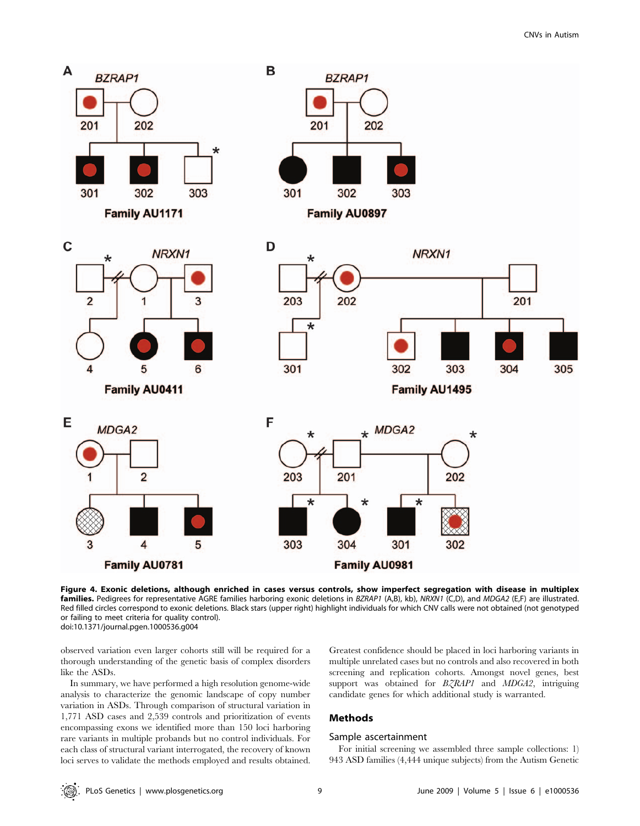

Figure 4. Exonic deletions, although enriched in cases versus controls, show imperfect segregation with disease in multiplex families. Pedigrees for representative AGRE families harboring exonic deletions in BZRAP1 (A,B), kb), NRXN1 (C,D), and MDGA2 (E,F) are illustrated. Red filled circles correspond to exonic deletions. Black stars (upper right) highlight individuals for which CNV calls were not obtained (not genotyped or failing to meet criteria for quality control). doi:10.1371/journal.pgen.1000536.g004

observed variation even larger cohorts still will be required for a thorough understanding of the genetic basis of complex disorders like the ASDs.

In summary, we have performed a high resolution genome-wide analysis to characterize the genomic landscape of copy number variation in ASDs. Through comparison of structural variation in 1,771 ASD cases and 2,539 controls and prioritization of events encompassing exons we identified more than 150 loci harboring rare variants in multiple probands but no control individuals. For each class of structural variant interrogated, the recovery of known loci serves to validate the methods employed and results obtained.

Greatest confidence should be placed in loci harboring variants in multiple unrelated cases but no controls and also recovered in both screening and replication cohorts. Amongst novel genes, best support was obtained for  $BZRAPI$  and  $MDGA2$ , intriguing candidate genes for which additional study is warranted.

## Methods

#### Sample ascertainment

For initial screening we assembled three sample collections: 1) 943 ASD families (4,444 unique subjects) from the Autism Genetic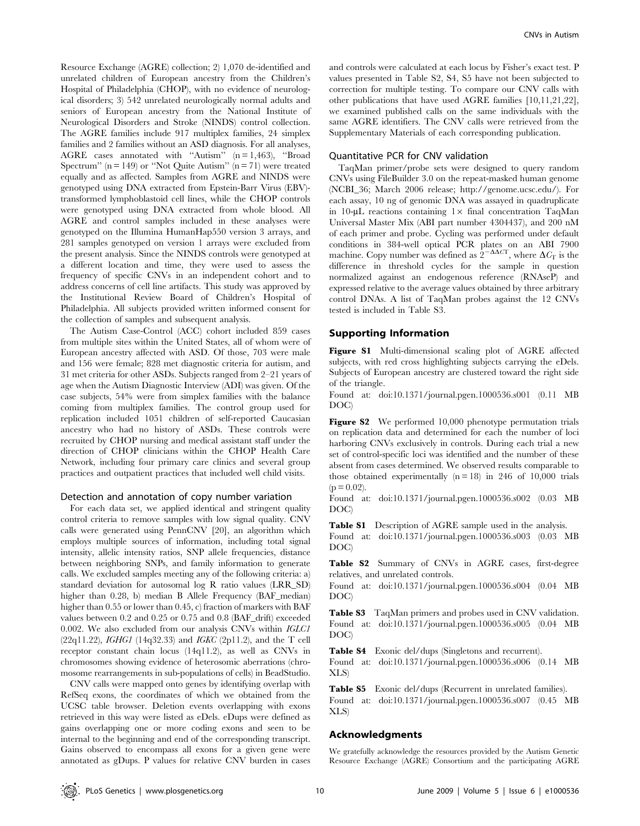Resource Exchange (AGRE) collection; 2) 1,070 de-identified and unrelated children of European ancestry from the Children's Hospital of Philadelphia (CHOP), with no evidence of neurological disorders; 3) 542 unrelated neurologically normal adults and seniors of European ancestry from the National Institute of Neurological Disorders and Stroke (NINDS) control collection. The AGRE families include 917 multiplex families, 24 simplex families and 2 families without an ASD diagnosis. For all analyses, AGRE cases annotated with "Autism"  $(n = 1,463)$ , "Broad Spectrum" ( $n = 149$ ) or "Not Quite Autism" ( $n = 71$ ) were treated equally and as affected. Samples from AGRE and NINDS were genotyped using DNA extracted from Epstein-Barr Virus (EBV) transformed lymphoblastoid cell lines, while the CHOP controls were genotyped using DNA extracted from whole blood. All AGRE and control samples included in these analyses were genotyped on the Illumina HumanHap550 version 3 arrays, and 281 samples genotyped on version 1 arrays were excluded from the present analysis. Since the NINDS controls were genotyped at a different location and time, they were used to assess the frequency of specific CNVs in an independent cohort and to address concerns of cell line artifacts. This study was approved by the Institutional Review Board of Children's Hospital of Philadelphia. All subjects provided written informed consent for the collection of samples and subsequent analysis.

The Autism Case-Control (ACC) cohort included 859 cases from multiple sites within the United States, all of whom were of European ancestry affected with ASD. Of those, 703 were male and 156 were female; 828 met diagnostic criteria for autism, and 31 met criteria for other ASDs. Subjects ranged from 2–21 years of age when the Autism Diagnostic Interview (ADI) was given. Of the case subjects, 54% were from simplex families with the balance coming from multiplex families. The control group used for replication included 1051 children of self-reported Caucasian ancestry who had no history of ASDs. These controls were recruited by CHOP nursing and medical assistant staff under the direction of CHOP clinicians within the CHOP Health Care Network, including four primary care clinics and several group practices and outpatient practices that included well child visits.

#### Detection and annotation of copy number variation

For each data set, we applied identical and stringent quality control criteria to remove samples with low signal quality. CNV calls were generated using PennCNV [20], an algorithm which employs multiple sources of information, including total signal intensity, allelic intensity ratios, SNP allele frequencies, distance between neighboring SNPs, and family information to generate calls. We excluded samples meeting any of the following criteria: a) standard deviation for autosomal log R ratio values (LRR\_SD) higher than 0.28, b) median B Allele Frequency (BAF\_median) higher than 0.55 or lower than 0.45, c) fraction of markers with BAF values between 0.2 and 0.25 or 0.75 and 0.8 (BAF\_drift) exceeded 0.002. We also excluded from our analysis CNVs within IGLC1  $(22q11.22)$ , *IGHG1* (14q32.33) and *IGKC* (2p11.2), and the T cell receptor constant chain locus (14q11.2), as well as CNVs in chromosomes showing evidence of heterosomic aberrations (chromosome rearrangements in sub-populations of cells) in BeadStudio.

CNV calls were mapped onto genes by identifying overlap with RefSeq exons, the coordinates of which we obtained from the UCSC table browser. Deletion events overlapping with exons retrieved in this way were listed as eDels. eDups were defined as gains overlapping one or more coding exons and seen to be internal to the beginning and end of the corresponding transcript. Gains observed to encompass all exons for a given gene were annotated as gDups. P values for relative CNV burden in cases and controls were calculated at each locus by Fisher's exact test. P values presented in Table S2, S4, S5 have not been subjected to correction for multiple testing. To compare our CNV calls with other publications that have used AGRE families [10,11,21,22], we examined published calls on the same individuals with the same AGRE identifiers. The CNV calls were retrieved from the Supplementary Materials of each corresponding publication.

#### Quantitative PCR for CNV validation

TaqMan primer/probe sets were designed to query random CNVs using FileBuilder 3.0 on the repeat-masked human genome (NCBI\_36; March 2006 release; http://genome.ucsc.edu/). For each assay, 10 ng of genomic DNA was assayed in quadruplicate in 10-µL reactions containing  $1\times$  final concentration TaqMan Universal Master Mix (ABI part number 4304437), and 200 nM of each primer and probe. Cycling was performed under default conditions in 384-well optical PCR plates on an ABI 7900 machine. Copy number was defined as  $2^{-\Delta\Delta CT}$ , where  $\Delta C_T$  is the difference in threshold cycles for the sample in question normalized against an endogenous reference (RNAseP) and expressed relative to the average values obtained by three arbitrary control DNAs. A list of TaqMan probes against the 12 CNVs tested is included in Table S3.

### Supporting Information

Figure S1 Multi-dimensional scaling plot of AGRE affected subjects, with red cross highlighting subjects carrying the eDels. Subjects of European ancestry are clustered toward the right side of the triangle.

Found at: doi:10.1371/journal.pgen.1000536.s001 (0.11 MB DOC)

Figure S2 We performed 10,000 phenotype permutation trials on replication data and determined for each the number of loci harboring CNVs exclusively in controls. During each trial a new set of control-specific loci was identified and the number of these absent from cases determined. We observed results comparable to those obtained experimentally  $(n = 18)$  in 246 of 10,000 trials  $(p = 0.02)$ .

Found at: doi:10.1371/journal.pgen.1000536.s002 (0.03 MB DOC)

Table S1 Description of AGRE sample used in the analysis. Found at: doi:10.1371/journal.pgen.1000536.s003 (0.03 MB DOC)

Table S2 Summary of CNVs in AGRE cases, first-degree relatives, and unrelated controls.

Found at: doi:10.1371/journal.pgen.1000536.s004 (0.04 MB DOC)

Table S3 TaqMan primers and probes used in CNV validation. Found at: doi:10.1371/journal.pgen.1000536.s005 (0.04 MB DOC)

Table S4 Exonic del/dups (Singletons and recurrent).

Found at: doi:10.1371/journal.pgen.1000536.s006 (0.14 MB XLS)

Table S5 Exonic del/dups (Recurrent in unrelated families). Found at: doi:10.1371/journal.pgen.1000536.s007 (0.45 MB XLS)

## Acknowledgments

We gratefully acknowledge the resources provided by the Autism Genetic Resource Exchange (AGRE) Consortium and the participating AGRE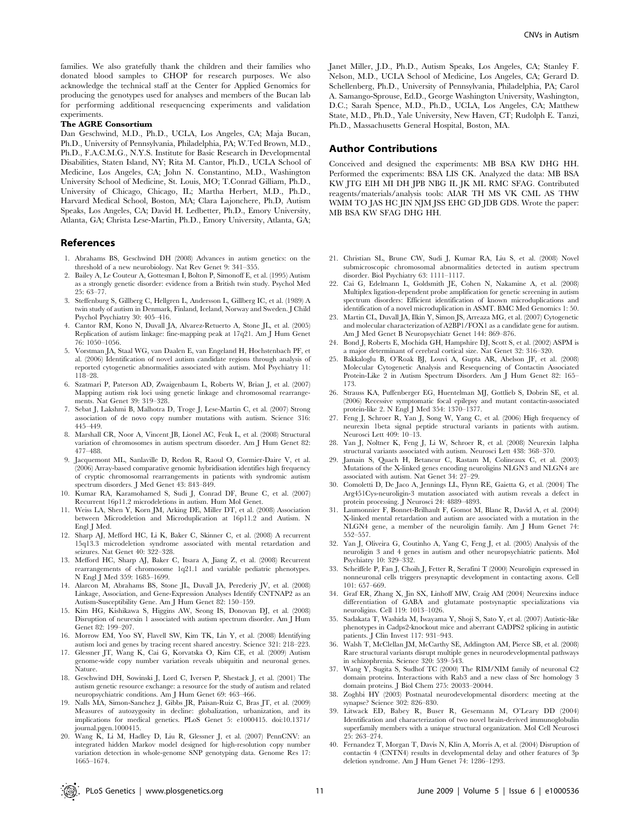families. We also gratefully thank the children and their families who donated blood samples to CHOP for research purposes. We also acknowledge the technical staff at the Center for Applied Genomics for producing the genotypes used for analyses and members of the Bucan lab for performing additional resequencing experiments and validation experiments.

## The AGRE Consortium

Dan Geschwind, M.D., Ph.D., UCLA, Los Angeles, CA; Maja Bucan, Ph.D., University of Pennsylvania, Philadelphia, PA; W.Ted Brown, M.D., Ph.D., F.A.C.M.G., N.Y.S. Institute for Basic Research in Developmental Disabilities, Staten Island, NY; Rita M. Cantor, Ph.D., UCLA School of Medicine, Los Angeles, CA; John N. Constantino, M.D., Washington University School of Medicine, St. Louis, MO; T.Conrad Gilliam, Ph.D., University of Chicago, Chicago, IL; Martha Herbert, M.D., Ph.D., Harvard Medical School, Boston, MA; Clara Lajonchere, Ph.D, Autism Speaks, Los Angeles, CA; David H. Ledbetter, Ph.D., Emory University, Atlanta, GA; Christa Lese-Martin, Ph.D., Emory University, Atlanta, GA;

#### References

- 1. Abrahams BS, Geschwind DH (2008) Advances in autism genetics: on the threshold of a new neurobiology. Nat Rev Genet 9: 341–355.
- 2. Bailey A, Le Couteur A, Gottesman I, Bolton P, Simonoff E, et al. (1995) Autism as a strongly genetic disorder: evidence from a British twin study. Psychol Med 25: 63–77.
- 3. Steffenburg S, Gillberg C, Hellgren L, Andersson L, Gillberg IC, et al. (1989) A twin study of autism in Denmark, Finland, Iceland, Norway and Sweden. J Child Psychol Psychiatry 30: 405–416.
- 4. Cantor RM, Kono N, Duvall JA, Alvarez-Retuerto A, Stone JL, et al. (2005) Replication of autism linkage: fine-mapping peak at 17q21. Am J Hum Genet 76: 1050–1056.
- 5. Vorstman JA, Staal WG, van Daalen E, van Engeland H, Hochstenbach PF, et al. (2006) Identification of novel autism candidate regions through analysis of reported cytogenetic abnormalities associated with autism. Mol Psychiatry 11: 118–28.
- 6. Szatmari P, Paterson AD, Zwaigenbaum L, Roberts W, Brian J, et al. (2007) Mapping autism risk loci using genetic linkage and chromosomal rearrangements. Nat Genet 39: 319–328.
- 7. Sebat J, Lakshmi B, Malhotra D, Troge J, Lese-Martin C, et al. (2007) Strong association of de novo copy number mutations with autism. Science 316: 445–449.
- 8. Marshall CR, Noor A, Vincent JB, Lionel AC, Feuk L, et al. (2008) Structural variation of chromosomes in autism spectrum disorder. Am J Hum Genet 82: 477–488.
- 9. Jacquemont ML, Sanlaville D, Redon R, Raoul O, Cormier-Daire V, et al. (2006) Array-based comparative genomic hybridisation identifies high frequency of cryptic chromosomal rearrangements in patients with syndromic autism spectrum disorders. J Med Genet 43: 843–849.
- 10. Kumar RA, Karamohamed S, Sudi J, Conrad DF, Brune C, et al. (2007) Recurrent 16p11.2 microdeletions in autism. Hum Mol Genet.
- 11. Weiss LA, Shen Y, Korn JM, Arking DE, Miller DT, et al. (2008) Association between Microdeletion and Microduplication at 16p11.2 and Autism. N Engl J Med.
- 12. Sharp AJ, Mefford HC, Li K, Baker C, Skinner C, et al. (2008) A recurrent 15q13.3 microdeletion syndrome associated with mental retardation and seizures. Nat Genet 40: 322–328.
- 13. Mefford HC, Sharp AJ, Baker C, Itsara A, Jiang Z, et al. (2008) Recurrent rearrangements of chromosome 1q21.1 and variable pediatric phenotypes. N Engl J Med 359: 1685–1699.
- 14. Alarcon M, Abrahams BS, Stone JL, Duvall JA, Perederiy JV, et al. (2008) Linkage, Association, and Gene-Expression Analyses Identify CNTNAP2 as an Autism-Susceptibility Gene. Am J Hum Genet 82: 150–159.
- 15. Kim HG, Kishikawa S, Higgins AW, Seong IS, Donovan DJ, et al. (2008) Disruption of neurexin 1 associated with autism spectrum disorder. Am J Hum Genet 82: 199–207.
- 16. Morrow EM, Yoo SY, Flavell SW, Kim TK, Lin Y, et al. (2008) Identifying autism loci and genes by tracing recent shared ancestry. Science 321: 218–223.
- 17. Glessner JT, Wang K, Cai G, Korvatska O, Kim CE, et al. (2009) Autism genome-wide copy number variation reveals ubiquitin and neuronal genes. Nature.
- 18. Geschwind DH, Sowinski J, Lord C, Iversen P, Shestack J, et al. (2001) The autism genetic resource exchange: a resource for the study of autism and related neuropsychiatric conditions. Am J Hum Genet 69: 463–466.
- 19. Nalls MA, Simon-Sanchez J, Gibbs JR, Paisan-Ruiz C, Bras JT, et al. (2009) Measures of autozygosity in decline: globalization, urbanization, and its implications for medical genetics. PLoS Genet 5: e1000415. doi:10.1371/ ournal.pgen.1000415.
- 20. Wang K, Li M, Hadley D, Liu R, Glessner J, et al. (2007) PennCNV: an integrated hidden Markov model designed for high-resolution copy number variation detection in whole-genome SNP genotyping data. Genome Res 17: 1665–1674.

Janet Miller, J.D., Ph.D., Autism Speaks, Los Angeles, CA; Stanley F. Nelson, M.D., UCLA School of Medicine, Los Angeles, CA; Gerard D. Schellenberg, Ph.D., University of Pennsylvania, Philadelphia, PA; Carol A. Samango-Sprouse, Ed.D., George Washington University, Washington, D.C.; Sarah Spence, M.D., Ph.D., UCLA, Los Angeles, CA; Matthew State, M.D., Ph.D., Yale University, New Haven, CT; Rudolph E. Tanzi, Ph.D., Massachusetts General Hospital, Boston, MA.

## Author Contributions

Conceived and designed the experiments: MB BSA KW DHG HH. Performed the experiments: BSA LIS CK. Analyzed the data: MB BSA KW JTG EIH MI DH JPB NBG IL JK ML RMC SFAG. Contributed reagents/materials/analysis tools: AIAR TH MS VK CML AS THW WMM TO JAS HC JIN NJM JSS EHC GD JDB GDS. Wrote the paper: MB BSA KW SFAG DHG HH.

- 21. Christian SL, Brune CW, Sudi J, Kumar RA, Liu S, et al. (2008) Novel submicroscopic chromosomal abnormalities detected in autism spectrum disorder. Biol Psychiatry 63: 1111–1117.
- 22. Cai G, Edelmann L, Goldsmith JE, Cohen N, Nakamine A, et al. (2008) Multiplex ligation-dependent probe amplification for genetic screening in autism spectrum disorders: Efficient identification of known microduplications and identification of a novel microduplication in ASMT. BMC Med Genomics 1: 50.
- 23. Martin CL, Duvall JA, Ilkin Y, Simon JS, Arreaza MG, et al. (2007) Cytogenetic and molecular characterization of A2BP1/FOX1 as a candidate gene for autism. Am J Med Genet B Neuropsychiatr Genet 144: 869–876.
- 24. Bond J, Roberts E, Mochida GH, Hampshire DJ, Scott S, et al. (2002) ASPM is a major determinant of cerebral cortical size. Nat Genet 32: 316–320.
- 25. Bakkaloglu B, O'Roak BJ, Louvi A, Gupta AR, Abelson JF, et al. (2008) Molecular Cytogenetic Analysis and Resequencing of Contactin Associated Protein-Like 2 in Autism Spectrum Disorders. Am J Hum Genet 82: 165– 173.
- 26. Strauss KA, Puffenberger EG, Huentelman MJ, Gottlieb S, Dobrin SE, et al. (2006) Recessive symptomatic focal epilepsy and mutant contactin-associated protein-like 2. N Engl J Med 354: 1370–1377.
- 27. Feng J, Schroer R, Yan J, Song W, Yang C, et al. (2006) High frequency of neurexin 1beta signal peptide structural variants in patients with autism. Neurosci Lett 409: 10–13.
- 28. Yan J, Noltner K, Feng J, Li W, Schroer R, et al. (2008) Neurexin 1alpha structural variants associated with autism. Neurosci Lett 438: 368–370.
- Jamain S, Quach H, Betancur C, Rastam M, Colineaux C, et al. (2003) Mutations of the X-linked genes encoding neuroligins NLGN3 and NLGN4 are associated with autism. Nat Genet 34: 27–29.
- 30. Comoletti D, De Jaco A, Jennings LL, Flynn RE, Gaietta G, et al. (2004) The Arg451Cys-neuroligin-3 mutation associated with autism reveals a defect in protein processing. J Neurosci 24: 4889–4893.
- 31. Laumonnier F, Bonnet-Brilhault F, Gomot M, Blanc R, David A, et al. (2004) X-linked mental retardation and autism are associated with a mutation in the NLGN4 gene, a member of the neuroligin family. Am J Hum Genet 74: 552–557.
- 32. Yan J, Oliveira G, Coutinho A, Yang C, Feng J, et al. (2005) Analysis of the neuroligin 3 and 4 genes in autism and other neuropsychiatric patients. Mol Psychiatry 10: 329–332.
- 33. Scheiffele P, Fan J, Choih J, Fetter R, Serafini T (2000) Neuroligin expressed in nonneuronal cells triggers presynaptic development in contacting axons. Cell 101: 657–669.
- 34. Graf ER, Zhang X, Jin SX, Linhoff MW, Craig AM (2004) Neurexins induce differentiation of GABA and glutamate postsynaptic specializations via neuroligins. Cell 119: 1013–1026.
- 35. Sadakata T, Washida M, Iwayama Y, Shoji S, Sato Y, et al. (2007) Autistic-like phenotypes in Cadps2-knockout mice and aberrant CADPS2 splicing in autistic patients. J Clin Invest 117: 931–943.
- 36. Walsh T, McClellan JM, McCarthy SE, Addington AM, Pierce SB, et al. (2008) Rare structural variants disrupt multiple genes in neurodevelopmental pathways in schizophrenia. Science 320: 539–543.
- 37. Wang Y, Sugita S, Sudhof TC (2000) The RIM/NIM family of neuronal C2 domain proteins. Interactions with Rab3 and a new class of Src homology 3 domain proteins. J Biol Chem 275: 20033–20044.
- 38. Zoghbi HY (2003) Postnatal neurodevelopmental disorders: meeting at the synapse? Science 302: 826–830.
- 39. Litwack ED, Babey R, Buser R, Gesemann M, O'Leary DD (2004) Identification and characterization of two novel brain-derived immunoglobulin superfamily members with a unique structural organization. Mol Cell Neurosci 25: 263–274.
- 40. Fernandez T, Morgan T, Davis N, Klin A, Morris A, et al. (2004) Disruption of contactin 4 (CNTN4) results in developmental delay and other features of 3p deletion syndrome. Am J Hum Genet 74: 1286–1293.